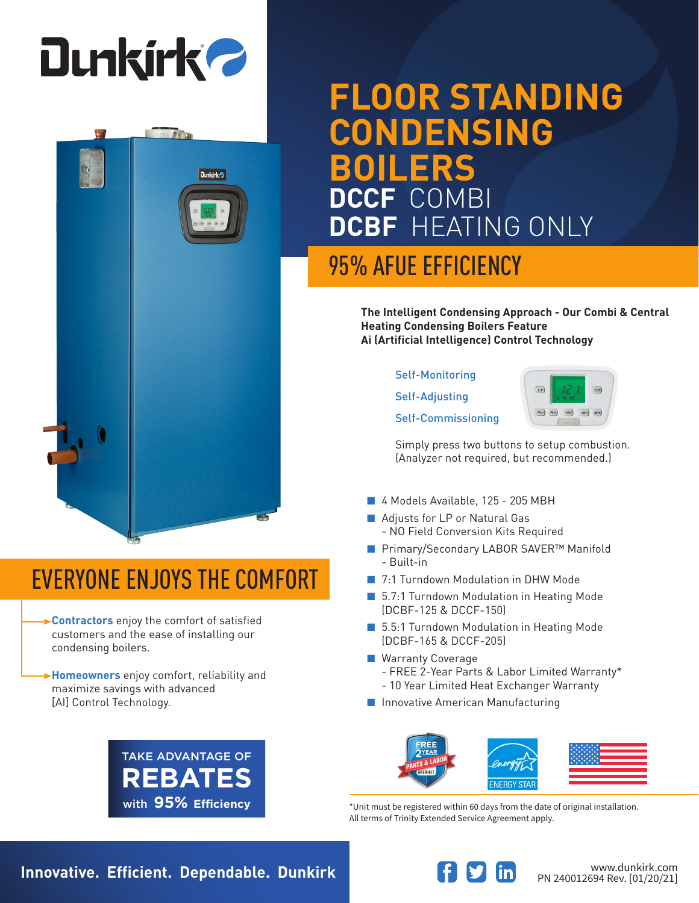

**Dunkirk** 

# **FLOOR STANDING CONDENSING BOILERS DCCF** COMBI **DCBF** HEATING ONLY

### 95% AFUE EFFICIENCY

**The Intelligent Condensing Approach - Our Combi & Central Heating Condensing Boilers Feature Ai (Artificial Intelligence) Control Technology**

#### Self-Monitoring

Self-Adjusting

Self-Commissioning



Simply press two buttons to setup combustion. (Analyzer not required, but recommended.)

- 4 Models Available, 125 205 MBH
- Adjusts for LP or Natural Gas
	- NO Field Conversion Kits Required
- Primary/Secondary LABOR SAVER<sup>™</sup> Manifold - Built-in
- 7:1 Turndown Modulation in DHW Mode
- 5.7:1 Turndown Modulation in Heating Mode (DCBF-125 & DCCF-150)
- 5.5:1 Turndown Modulation in Heating Mode (DCBF-165 & DCCF-205)
- Warranty Coverage
	- FREE 2-Year Parts & Labor Limited Warranty\*
	- 10 Year Limited Heat Exchanger Warranty
- Innovative American Manufacturing



\*Unit must be registered within 60 days from the date of original installation. All terms of Trinity Extended Service Agreement apply.

EVERYONE ENJOYS THE COMFORT

**Contractors** enjoy the comfort of satisfied customers and the ease of installing our condensing boilers.

**Homeowners** enjoy comfort, reliability and maximize savings with advanced [AI] Control Technology.



**Innovative. Efficient. Dependable. Dunkirk Wave and South and Meridian Www.dunkirk.com**